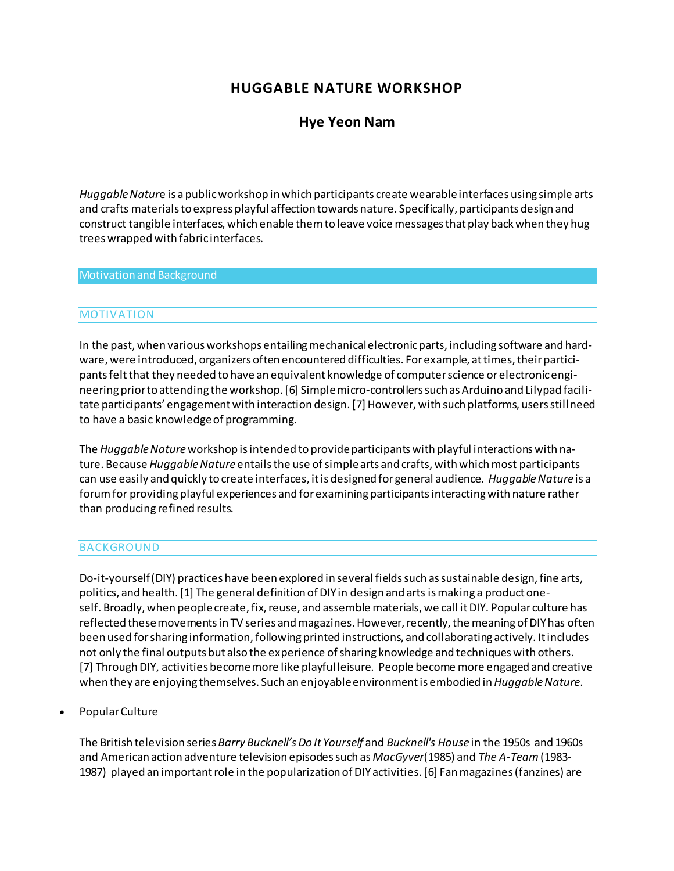# **HUGGABLE NATURE WORKSHOP**

# **[Hye Yeon Nam](http://isea2011.sabanciuniv.edu/-686.html)**

*Huggable Natur*e is a public workshop in which participants create wearable interfaces using simple arts and crafts materials to express playful affection towards nature. Specifically, participants design and construct tangible interfaces, which enable them to leave voice messages that play back when they hug trees wrapped with fabric interfaces.

#### Motivation and Background

#### MOTIVATION

In the past, when various workshops entailing mechanical electronic parts, including software and hardware, were introduced, organizers often encountered difficulties. For example, at times, their participants feltthat they needed to have an equivalent knowledge of computer science or electronic engineering prior to attending the workshop. [6] Simple micro-controllers such as Arduino and Lilypad facilitate participants' engagement with interaction design. [7] However, with such platforms, users still need to have a basic knowledge of programming.

The *Huggable Nature*workshop is intended to provide participants with playful interactions with nature. Because *Huggable Nature* entails the use of simple arts and crafts, with which most participants can use easily and quickly to create interfaces, it is designed for general audience. *Huggable Nature* is a forum for providing playful experiences and for examining participants interacting with nature rather than producing refined results.

## BACKGROUND

Do-it-yourself (DIY) practices have been explored in several fields such as sustainable design, fine arts, politics, and health. [1] The general definition of DIY in design and arts is making a product oneself. Broadly, when people create, fix, reuse, and assemble materials, we call it DIY. Popular culture has reflected these movements in TV series and magazines. However, recently, the meaning of DIY has often been used for sharing information, following printed instructions, and collaborating actively. It includes not only the final outputs but also the experience of sharing knowledge and techniques with others. [7] Through DIY, activities become more like playful leisure. People become more engaged and creative when they are enjoying themselves. Such an enjoyable environment is embodied in*Huggable Nature*.

Popular Culture

The British television series *Barry Bucknell's Do It Yourself* and *Bucknell's House* in the 1950s and 1960s and American action adventure television episodes such as *MacGyver*(1985) and *The A-Team*(1983- 1987) played an important role in the popularization of DIY activities. [6] Fan magazines (fanzines) are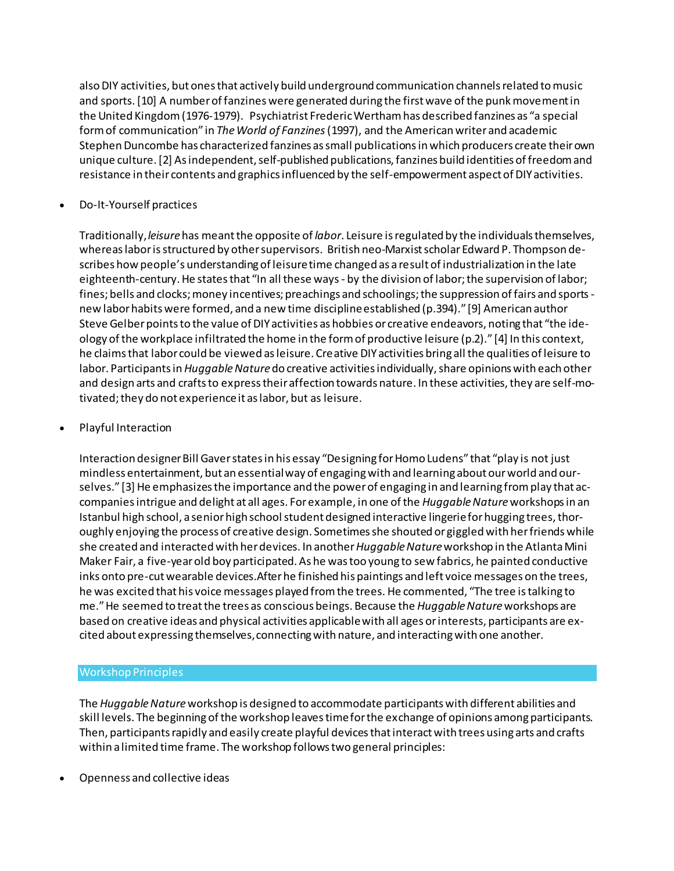also DIY activities, but ones that actively build underground communication channels related to music and sports. [10] A number of fanzines were generated during the first wave of the punk movement in the United Kingdom (1976-1979). Psychiatrist Frederic Wertham has described fanzines as "a special form of communication" in *The World of Fanzines*(1997), and the American writer and academic Stephen Duncombe has characterized fanzines as small publications in which producers create their own unique culture. [2] As independent, self-published publications, fanzines build identities of freedom and resistance in their contents and graphics influenced by the self-empowerment aspect of DIY activities.

Do-It-Yourself practices

Traditionally,*leisure*has meant the opposite of *labor*. Leisure is regulated by the individuals themselves, whereas labor is structured by other supervisors. British neo-Marxist scholar Edward P. Thompson describes how people's understanding of leisure time changed as a result of industrialization in the late eighteenth-century. He states that "In all these ways - by the division of labor; the supervision of labor; fines; bells and clocks; money incentives; preachings and schoolings; the suppression of fairs and sports new labor habits were formed, and a new time discipline established (p.394)." [9] American author Steve Gelber points to the value of DIY activities as hobbies or creative endeavors, noting that "the ideology of the workplace infiltrated the home in the form of productive leisure (p.2)." [4] In this context, he claims that labor could be viewed as leisure. Creative DIY activities bring all the qualities of leisure to labor. Participants in*Huggable Nature*do creative activities individually, share opinions with each other and design arts and crafts to express their affection towards nature. In these activities, they are self-motivated; they do not experience it as labor, but as leisure.

Playful Interaction

Interaction designer Bill Gaver states in his essay "Designing for Homo Ludens" that "play is not just mindless entertainment, but an essential way of engaging with and learning about our world and ourselves." [3] He emphasizes the importance and the power of engaging in and learning from play that accompanies intrigue and delight at all ages. For example, in one of the *Huggable Nature*workshops in an Istanbul high school, a senior high school student designed interactive lingerie for hugging trees, thoroughly enjoying the process of creative design. Sometimes she shouted or giggled with her friends while she created and interacted with her devices. In another*Huggable Nature*workshop in the Atlanta Mini Maker Fair, a five-year old boy participated. As he was too young to sew fabrics, he painted conductive inks onto pre-cut wearable devices.After he finished his paintings and left voice messages on the trees, he was excited that his voice messages played from the trees. He commented, "The tree is talking to me." He seemed to treat the trees as conscious beings. Because the *Huggable Nature*workshops are based on creative ideas and physical activities applicable with all ages or interests, participants are excited about expressing themselves, connecting with nature, and interacting with one another.

## Workshop Principles

The *Huggable Nature*workshop is designed to accommodate participants with different abilities and skill levels. The beginning of the workshop leaves time for the exchange of opinions among participants. Then, participants rapidly and easily create playful devices that interact with trees using arts and crafts within a limited time frame. The workshop follows two general principles:

Openness and collective ideas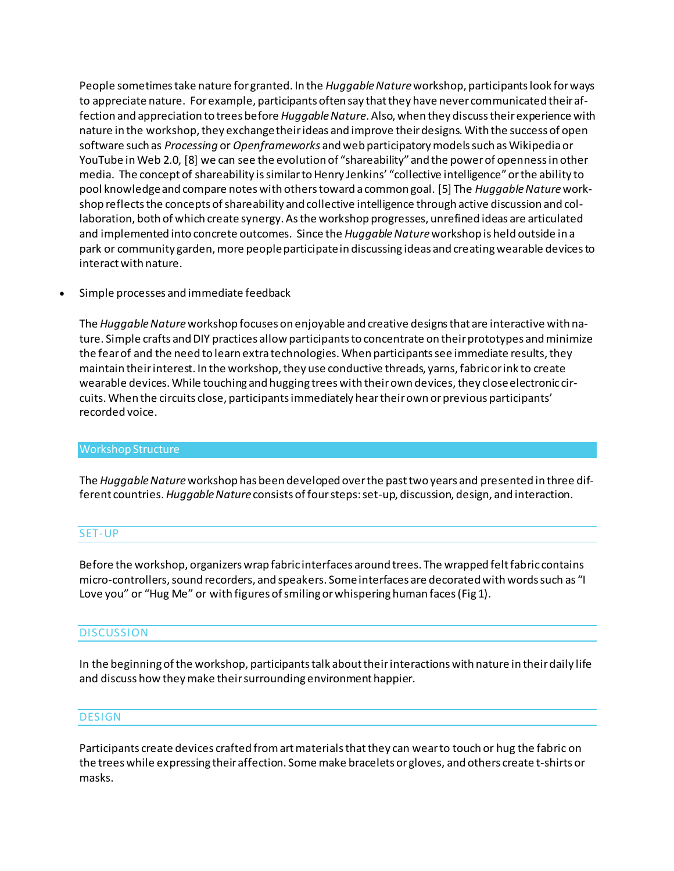People sometimes take nature for granted. In the *Huggable Nature*workshop, participants look for ways to appreciate nature. For example, participants often say that they have never communicated their affection and appreciation to trees before *Huggable Nature*. Also, when they discuss their experience with nature in the workshop, they exchange their ideas and improve their designs. With the success of open software such as *Processing* or *Openframeworks* and web participatory models such as Wikipedia or YouTube in Web 2.0, [8] we can see the evolution of "shareability" and the power of openness in other media. The concept of shareability is similar to Henry Jenkins' "collective intelligence" or the ability to pool knowledge and compare notes with others toward a common goal. [5] The *Huggable Nature*workshop reflects the concepts of shareability and collective intelligence through active discussion and collaboration, both of which create synergy. As the workshop progresses, unrefined ideas are articulated and implemented into concrete outcomes. Since the *Huggable Nature*workshop is held outside in a park or community garden, more people participate in discussing ideas and creating wearable devices to interact with nature.

Simple processes and immediate feedback

The *Huggable Nature*workshop focuses on enjoyable and creative designs that are interactive with nature. Simple crafts and DIY practices allow participants to concentrate on their prototypes and minimize the fear of and the need to learn extra technologies. When participants see immediate results, they maintain their interest. In the workshop, they use conductive threads, yarns, fabric or ink to create wearable devices. While touching and hugging trees with their own devices, they close electronic circuits. When the circuits close, participants immediately hear their own or previous participants' recorded voice.

## Workshop Structure

The *Huggable Nature*workshop has been developed over the past two years and presented in three different countries.*Huggable Nature* consists of four steps: set-up, discussion, design, and interaction.

## SET-UP

Before the workshop, organizers wrap fabric interfaces around trees. The wrapped felt fabric contains micro-controllers, sound recorders, and speakers. Some interfaces are decorated with words such as "I Love you" or "Hug Me" or with figures of smiling or whispering human faces (Fig 1).

# **DISCUSSION**

In the beginning of the workshop, participants talk about their interactions with nature in their daily life and discuss how they make their surrounding environment happier.

## **DESIGN**

Participants create devices crafted from art materials that they can wear to touch or hug the fabric on the trees while expressing their affection. Some make bracelets or gloves, and others create t-shirts or masks.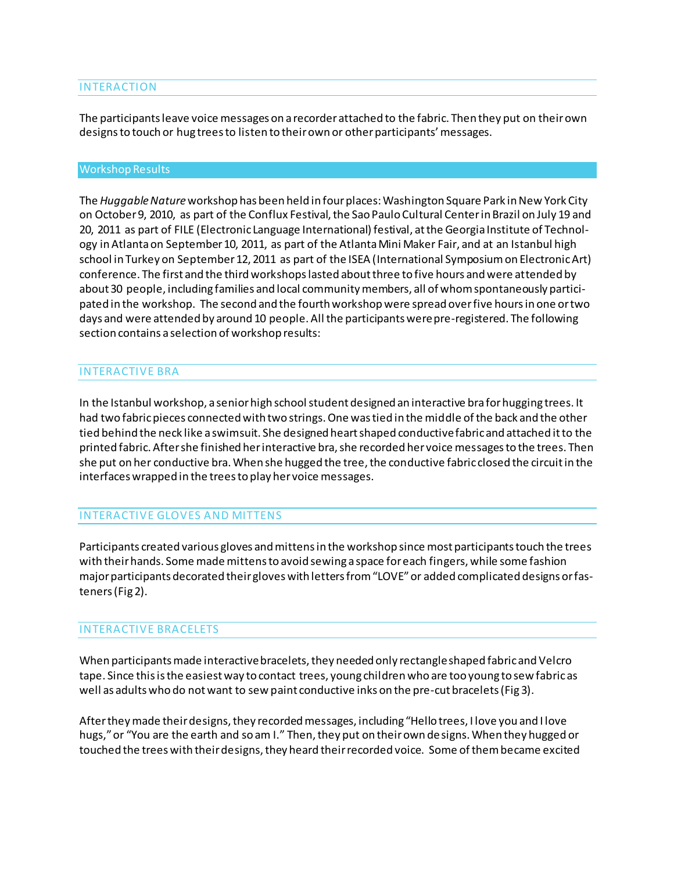## INTERACTION

The participants leave voice messages on a recorder attached to the fabric. Then they put on their own designs to touch or hug trees to listen to their own or other participants' messages.

#### Workshop Results

The *Huggable Nature*workshop has been held in four places: Washington Square Park in New York City on October 9, 2010, as part of the Conflux Festival, the Sao Paulo Cultural Center in Brazil on July 19 and 20, 2011 as part of FILE (Electronic Language International) festival, at the Georgia Institute of Technology in Atlanta on September 10, 2011, as part of the Atlanta Mini Maker Fair, and at an Istanbul high school in Turkey on September 12, 2011 as part of the ISEA (International Symposium on Electronic Art) conference. The first and the third workshops lasted about three to five hours and were attended by about 30 people, including families and local community members, all of whom spontaneously participated in the workshop. The second and the fourth workshop were spread over five hours in one or two days and were attended by around 10 people. All the participants were pre-registered. The following section contains a selection of workshop results:

## INTERACTIVE BRA

In the Istanbul workshop, a senior high school student designed an interactive bra for hugging trees. It had two fabric pieces connected with two strings. One was tied in the middle of the back and the other tied behind the neck like a swimsuit. She designed heart shaped conductive fabric and attached it to the printed fabric. After she finished her interactive bra, she recorded her voice messages to the trees. Then she put on her conductive bra. When she hugged the tree, the conductive fabric closed the circuit in the interfaces wrapped in the trees to play her voice messages.

# INTERACTIVE GLOVES AND MITTENS

Participants created various gloves and mittens in the workshop since most participants touch the trees with their hands. Some made mittens to avoid sewing a space for each fingers, while some fashion major participants decorated their gloves with letters from "LOVE" or added complicated designs or fasteners (Fig 2).

# INTERACTIVE BRACELETS

When participants made interactive bracelets, they needed only rectangle shaped fabric and Velcro tape. Since this is the easiest way to contact trees, young children who are too young to sew fabric as well as adults who do not want to sew paint conductive inks on the pre-cut bracelets (Fig 3).

After they made their designs, they recorded messages, including "Hello trees, I love you and I love hugs," or "You are the earth and so am I." Then, they put on their own designs. When they hugged or touched the trees with their designs, they heard their recorded voice. Some of them became excited